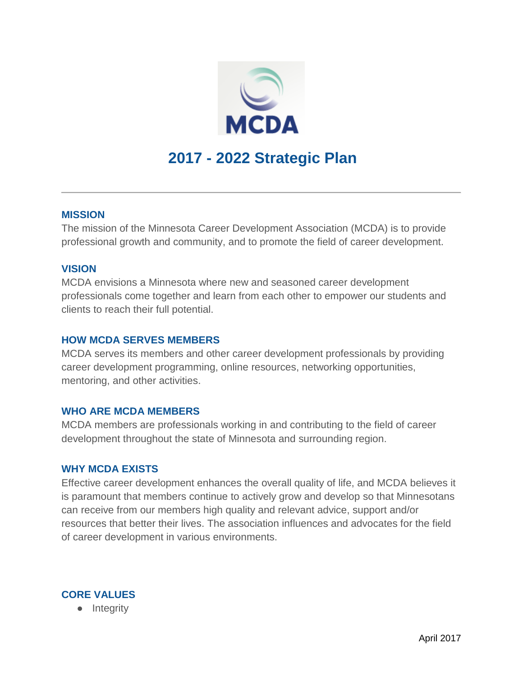

## **MISSION**

The mission of the Minnesota Career Development Association (MCDA) is to provide professional growth and community, and to promote the field of career development.

## **VISION**

MCDA envisions a Minnesota where new and seasoned career development professionals come together and learn from each other to empower our students and clients to reach their full potential.

### **HOW MCDA SERVES MEMBERS**

MCDA serves its members and other career development professionals by providing career development programming, online resources, networking opportunities, mentoring, and other activities.

#### **WHO ARE MCDA MEMBERS**

MCDA members are professionals working in and contributing to the field of career development throughout the state of Minnesota and surrounding region.

#### **WHY MCDA EXISTS**

Effective career development enhances the overall quality of life, and MCDA believes it is paramount that members continue to actively grow and develop so that Minnesotans can receive from our members high quality and relevant advice, support and/or resources that better their lives. The association influences and advocates for the field of career development in various environments.

## **CORE VALUES**

● Integrity